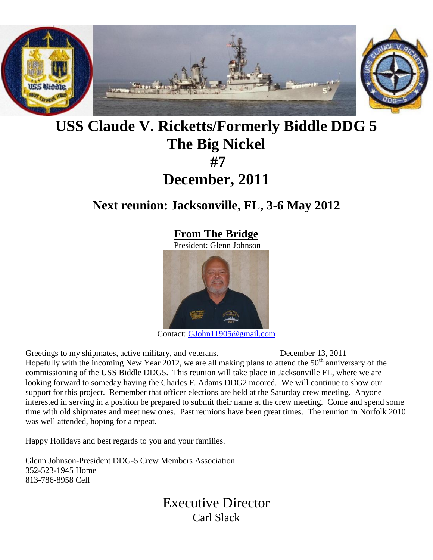

# **USS Claude V. Ricketts/Formerly Biddle DDG 5 The Big Nickel #7 December, 2011**

# **Next reunion: Jacksonville, FL, 3-6 May 2012**

## **From The Bridge**

President: Glenn Johnson



Contact: [GJohn11905@gmail.com](mailto:GJohn11905@gmail.com)

Greetings to my shipmates, active military, and veterans. December 13, 2011 Hopefully with the incoming New Year 2012, we are all making plans to attend the  $50<sup>th</sup>$  anniversary of the commissioning of the USS Biddle DDG5. This reunion will take place in Jacksonville FL, where we are looking forward to someday having the Charles F. Adams DDG2 moored. We will continue to show our support for this project. Remember that officer elections are held at the Saturday crew meeting. Anyone interested in serving in a position be prepared to submit their name at the crew meeting. Come and spend some time with old shipmates and meet new ones. Past reunions have been great times. The reunion in Norfolk 2010 was well attended, hoping for a repeat.

Happy Holidays and best regards to you and your families.

Glenn Johnson-President DDG-5 Crew Members Association 352-523-1945 Home 813-786-8958 Cell

> Executive Director Carl Slack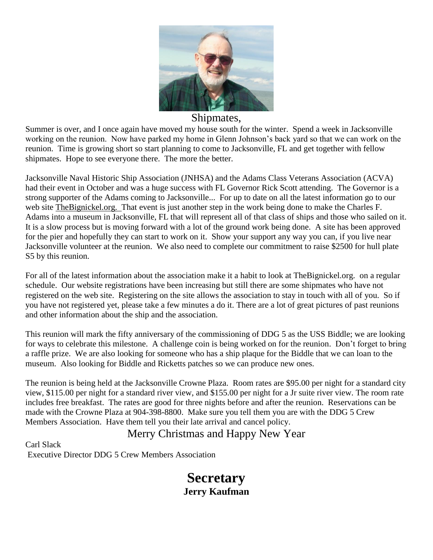

### Shipmates,

Summer is over, and I once again have moved my house south for the winter. Spend a week in Jacksonville working on the reunion. Now have parked my home in Glenn Johnson's back yard so that we can work on the reunion. Time is growing short so start planning to come to Jacksonville, FL and get together with fellow shipmates. Hope to see everyone there. The more the better.

Jacksonville Naval Historic Ship Association (JNHSA) and the Adams Class Veterans Association (ACVA) had their event in October and was a huge success with FL Governor Rick Scott attending. The Governor is a strong supporter of the Adams coming to Jacksonville... For up to date on all the latest information go to our web site TheBignickel.org. That event is just another step in the work being done to make the Charles F. Adams into a museum in Jacksonville, FL that will represent all of that class of ships and those who sailed on it. It is a slow process but is moving forward with a lot of the ground work being done. A site has been approved for the pier and hopefully they can start to work on it. Show your support any way you can, if you live near Jacksonville volunteer at the reunion. We also need to complete our commitment to raise \$2500 for hull plate S5 by this reunion.

For all of the latest information about the association make it a habit to look at TheBignickel.org. on a regular schedule. Our website registrations have been increasing but still there are some shipmates who have not registered on the web site. Registering on the site allows the association to stay in touch with all of you. So if you have not registered yet, please take a few minutes a do it. There are a lot of great pictures of past reunions and other information about the ship and the association.

This reunion will mark the fifty anniversary of the commissioning of DDG 5 as the USS Biddle; we are looking for ways to celebrate this milestone. A challenge coin is being worked on for the reunion. Don't forget to bring a raffle prize. We are also looking for someone who has a ship plaque for the Biddle that we can loan to the museum. Also looking for Biddle and Ricketts patches so we can produce new ones.

The reunion is being held at the Jacksonville Crowne Plaza. Room rates are \$95.00 per night for a standard city view, \$115.00 per night for a standard river view, and \$155.00 per night for a Jr suite river view. The room rate includes free breakfast. The rates are good for three nights before and after the reunion. Reservations can be made with the Crowne Plaza at 904-398-8800. Make sure you tell them you are with the DDG 5 Crew Members Association. Have them tell you their late arrival and cancel policy.

### Merry Christmas and Happy New Year

Carl Slack Executive Director DDG 5 Crew Members Association

## **Secretary Jerry Kaufman**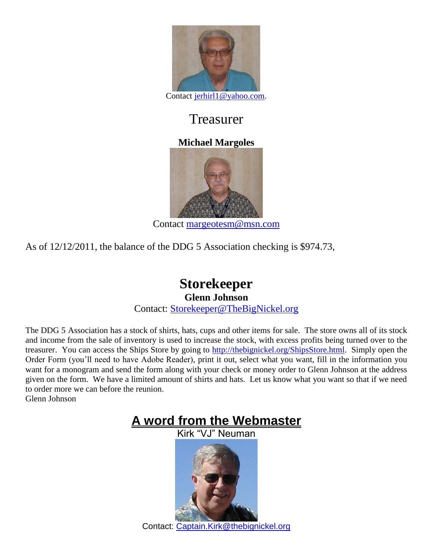

Contact [jerhirl1@yahoo.com.](mailto:jerhirl1@yahoo.com)

# Treasurer

## **Michael Margoles**



Contact [margeotesm@msn.com](mailto:margeotesm@msn.com)

As of 12/12/2011, the balance of the DDG 5 Association checking is \$974.73,

### **Storekeeper Glenn Johnson** Contact: [Storekeeper@TheBigNickel.org](mailto:storekeeper@thebignickel.org)

The DDG 5 Association has a stock of shirts, hats, cups and other items for sale. The store owns all of its stock and income from the sale of inventory is used to increase the stock, with excess profits being turned over to the treasurer. You can access the Ships Store by going to [http://thebignickel.org/ShipsStore.html.](http://thebignickel.org/ShipsStore.html) Simply open the Order Form (you'll need to have Adobe Reader), print it out, select what you want, fill in the information you want for a monogram and send the form along with your check or money order to Glenn Johnson at the address given on the form. We have a limited amount of shirts and hats. Let us know what you want so that if we need to order more we can before the reunion. Glenn Johnson

> **A word from the Webmaster** Kirk "VJ" Neuman

Contact: [Captain.Kirk@thebignickel.org](mailto:Captain.Kirk@thebignickel.org)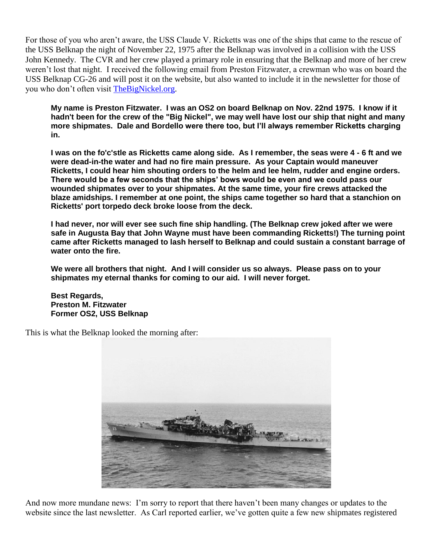For those of you who aren't aware, the USS Claude V. Ricketts was one of the ships that came to the rescue of the USS Belknap the night of November 22, 1975 after the Belknap was involved in a collision with the USS John Kennedy. The CVR and her crew played a primary role in ensuring that the Belknap and more of her crew weren't lost that night. I received the following email from Preston Fitzwater, a crewman who was on board the USS Belknap CG-26 and will post it on the website, but also wanted to include it in the newsletter for those of you who don't often visit [TheBigNickel.org.](http://thebignickel.org/)

**My name is Preston Fitzwater. I was an OS2 on board Belknap on Nov. 22nd 1975. I know if it hadn't been for the crew of the "Big Nickel", we may well have lost our ship that night and many more shipmates. Dale and Bordello were there too, but I'll always remember Ricketts charging in.**

**I was on the fo'c'stle as Ricketts came along side. As I remember, the seas were 4 - 6 ft and we were dead-in-the water and had no fire main pressure. As your Captain would maneuver Ricketts, I could hear him shouting orders to the helm and lee helm, rudder and engine orders. There would be a few seconds that the ships' bows would be even and we could pass our wounded shipmates over to your shipmates. At the same time, your fire crews attacked the blaze amidships. I remember at one point, the ships came together so hard that a stanchion on Ricketts' port torpedo deck broke loose from the deck.**

**I had never, nor will ever see such fine ship handling. (The Belknap crew joked after we were safe in Augusta Bay that John Wayne must have been commanding Ricketts!) The turning point came after Ricketts managed to lash herself to Belknap and could sustain a constant barrage of water onto the fire.**

**We were all brothers that night. And I will consider us so always. Please pass on to your shipmates my eternal thanks for coming to our aid. I will never forget.**

**Best Regards, Preston M. Fitzwater Former OS2, USS Belknap**

This is what the Belknap looked the morning after:



And now more mundane news: I'm sorry to report that there haven't been many changes or updates to the website since the last newsletter. As Carl reported earlier, we've gotten quite a few new shipmates registered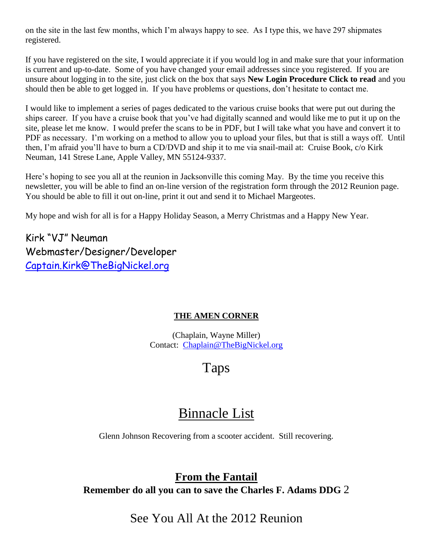on the site in the last few months, which I'm always happy to see. As I type this, we have 297 shipmates registered.

If you have registered on the site, I would appreciate it if you would log in and make sure that your information is current and up-to-date. Some of you have changed your email addresses since you registered. If you are unsure about logging in to the site, just click on the box that says **New Login Procedure Click to read** and you should then be able to get logged in. If you have problems or questions, don't hesitate to contact me.

I would like to implement a series of pages dedicated to the various cruise books that were put out during the ships career. If you have a cruise book that you've had digitally scanned and would like me to put it up on the site, please let me know. I would prefer the scans to be in PDF, but I will take what you have and convert it to PDF as necessary. I'm working on a method to allow you to upload your files, but that is still a ways off. Until then, I'm afraid you'll have to burn a CD/DVD and ship it to me via snail-mail at: Cruise Book, c/o Kirk Neuman, 141 Strese Lane, Apple Valley, MN 55124-9337.

Here's hoping to see you all at the reunion in Jacksonville this coming May. By the time you receive this newsletter, you will be able to find an on-line version of the registration form through the 2012 Reunion page. You should be able to fill it out on-line, print it out and send it to Michael Margeotes.

My hope and wish for all is for a Happy Holiday Season, a Merry Christmas and a Happy New Year.

Kirk "VJ" Neuman Webmaster/Designer/Developer [Captain.Kirk@TheBigNickel.org](mailto:Captain.Kirk@TheBigNickel.org)

#### **THE AMEN CORNER**

(Chaplain, Wayne Miller) Contact: [Chaplain@TheBigNickel.org](file:///D:/Web%20Drive/CVR%20Site/Newsletter/October%202010/Chaplain@TheBigNickel.org)

# Taps

## Binnacle List

Glenn Johnson Recovering from a scooter accident. Still recovering.

**From the Fantail Remember do all you can to save the Charles F. Adams DDG** 2

See You All At the 2012 Reunion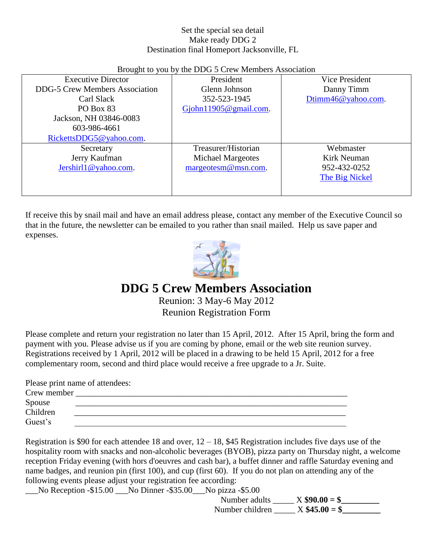#### Set the special sea detail Make ready DDG 2 Destination final Homeport Jacksonville, FL

| Brought to you by the DDG 5 Crew Members Association |                           |                    |  |  |
|------------------------------------------------------|---------------------------|--------------------|--|--|
| <b>Executive Director</b>                            | President                 | Vice President     |  |  |
| <b>DDG-5 Crew Members Association</b>                | Glenn Johnson             | Danny Timm         |  |  |
| Carl Slack                                           | 352-523-1945              | Dtimm46@yahoo.com. |  |  |
| PO Box 83                                            | Gjohn $11905@$ gmail.com. |                    |  |  |
| Jackson, NH 03846-0083                               |                           |                    |  |  |
| 603-986-4661                                         |                           |                    |  |  |
| RickettsDDG5@yahoo.com.                              |                           |                    |  |  |
| Secretary                                            | Treasurer/Historian       | Webmaster          |  |  |
| Jerry Kaufman                                        | Michael Margeotes         | Kirk Neuman        |  |  |
| Jershirl1@yahoo.com.                                 | margeotesm@msn.com.       | 952-432-0252       |  |  |
|                                                      |                           | The Big Nickel     |  |  |
|                                                      |                           |                    |  |  |
|                                                      |                           |                    |  |  |

Brought to you by the DDG 5 Crew Members Association

If receive this by snail mail and have an email address please, contact any member of the Executive Council so that in the future, the newsletter can be emailed to you rather than snail mailed. Help us save paper and expenses.



## **DDG 5 Crew Members Association**

Reunion: 3 May-6 May 2012 Reunion Registration Form

Please complete and return your registration no later than 15 April, 2012. After 15 April, bring the form and payment with you. Please advise us if you are coming by phone, email or the web site reunion survey. Registrations received by 1 April, 2012 will be placed in a drawing to be held 15 April, 2012 for a free complementary room, second and third place would receive a free upgrade to a Jr. Suite.

Please print name of attendees: Crew member Spouse  $\blacksquare$ Children \_\_\_\_\_\_\_\_\_\_\_\_\_\_\_\_\_\_\_\_\_\_\_\_\_\_\_\_\_\_\_\_\_\_\_\_\_\_\_\_\_\_\_\_\_\_\_\_\_\_\_\_\_\_\_\_\_\_\_\_\_\_\_\_ Guest's <u>contract</u> in the contract of the contract of the contract of the contract of the contract of the contract of the contract of the contract of the contract of the contract of the contract of the contract of the cont

Registration is \$90 for each attendee 18 and over,  $12 - 18$ , \$45 Registration includes five days use of the hospitality room with snacks and non-alcoholic beverages (BYOB), pizza party on Thursday night, a welcome reception Friday evening (with hors d'oeuvres and cash bar), a buffet dinner and raffle Saturday evening and name badges, and reunion pin (first 100), and cup (first 60). If you do not plan on attending any of the following events please adjust your registration fee according:

No Reception -\$15.00 No Dinner -\$35.00 No pizza -\$5.00

 Number adults \_\_\_\_\_ X **\$90.00 = \$\_\_\_\_\_\_\_\_\_** Number children \_\_\_\_\_ X **\$45.00 = \$\_\_\_\_\_\_\_\_\_**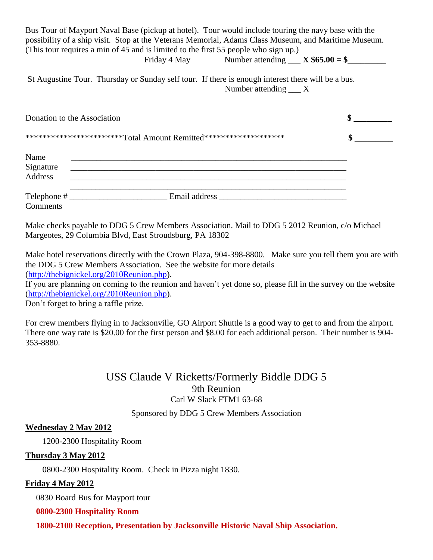Bus Tour of Mayport Naval Base (pickup at hotel). Tour would include touring the navy base with the possibility of a ship visit. Stop at the Veterans Memorial, Adams Class Museum, and Maritime Museum. (This tour requires a min of 45 and is limited to the first 55 people who sign up.) Friday 4 May Number attending  $\angle X$  \$65.00 = \$

St Augustine Tour. Thursday or Sunday self tour. If there is enough interest there will be a bus. Number attending X

| Donation to the Association<br>***********************Total Amount Remitted******************** |                                                                                                                                                                                                                                |  |
|-------------------------------------------------------------------------------------------------|--------------------------------------------------------------------------------------------------------------------------------------------------------------------------------------------------------------------------------|--|
|                                                                                                 |                                                                                                                                                                                                                                |  |
| Name<br>Signature<br>Address                                                                    | <u> 2000 - Jan Berlin, margaret al-Amerikaansk politik (d. 1982)</u>                                                                                                                                                           |  |
| Comments                                                                                        | Email address and the state of the state of the state of the state of the state of the state of the state of the state of the state of the state of the state of the state of the state of the state of the state of the state |  |

Make checks payable to DDG 5 Crew Members Association. Mail to DDG 5 2012 Reunion, c/o Michael Margeotes, 29 Columbia Blvd, East Stroudsburg, PA 18302

Make hotel reservations directly with the Crown Plaza, 904-398-8800. Make sure you tell them you are with the DDG 5 Crew Members Association. See the website for more details [\(http://thebignickel.org/2010Reunion.php\)](http://thebignickel.org/2010Reunion.php).

If you are planning on coming to the reunion and haven't yet done so, please fill in the survey on the website [\(http://thebignickel.org/2010Reunion.php\)](http://thebignickel.org/2010Reunion.php).

Don't forget to bring a raffle prize.

For crew members flying in to Jacksonville, GO Airport Shuttle is a good way to get to and from the airport. There one way rate is \$20.00 for the first person and \$8.00 for each additional person. Their number is 904- 353-8880.

### USS Claude V Ricketts/Formerly Biddle DDG 5 9th Reunion Carl W Slack FTM1 63-68

Sponsored by DDG 5 Crew Members Association

#### **Wednesday 2 May 2012**

1200-2300 Hospitality Room

#### **Thursday 3 May 2012**

0800-2300 Hospitality Room. Check in Pizza night 1830.

#### **Friday 4 May 2012**

0830 Board Bus for Mayport tour

#### **0800-2300 Hospitality Room**

 **1800-2100 Reception, Presentation by Jacksonville Historic Naval Ship Association.**